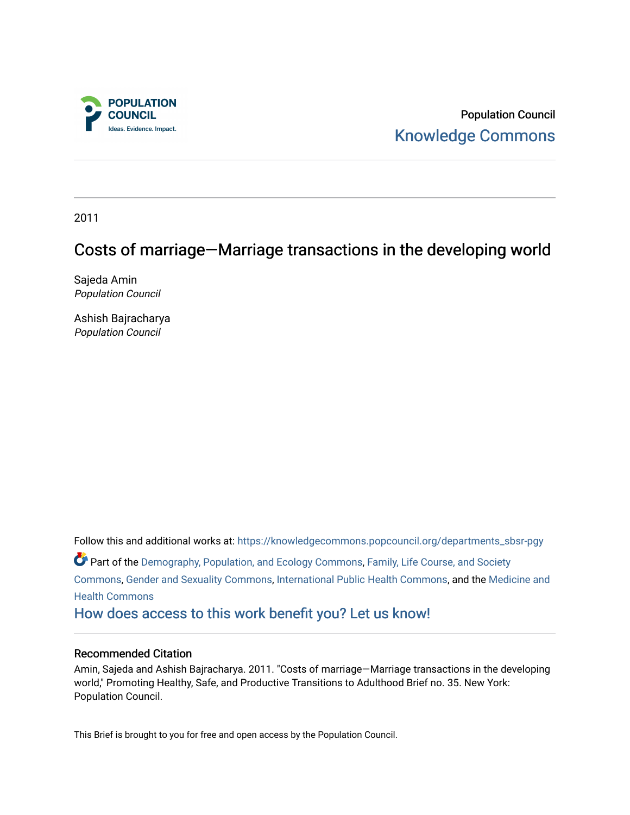

Population Council [Knowledge Commons](https://knowledgecommons.popcouncil.org/) 

2011

### Costs of marriage—Marriage transactions in the developing world

Sajeda Amin Population Council

Ashish Bajracharya Population Council

Follow this and additional works at: [https://knowledgecommons.popcouncil.org/departments\\_sbsr-pgy](https://knowledgecommons.popcouncil.org/departments_sbsr-pgy?utm_source=knowledgecommons.popcouncil.org%2Fdepartments_sbsr-pgy%2F833&utm_medium=PDF&utm_campaign=PDFCoverPages)  Part of the [Demography, Population, and Ecology Commons,](https://network.bepress.com/hgg/discipline/418?utm_source=knowledgecommons.popcouncil.org%2Fdepartments_sbsr-pgy%2F833&utm_medium=PDF&utm_campaign=PDFCoverPages) [Family, Life Course, and Society](https://network.bepress.com/hgg/discipline/419?utm_source=knowledgecommons.popcouncil.org%2Fdepartments_sbsr-pgy%2F833&utm_medium=PDF&utm_campaign=PDFCoverPages)  [Commons](https://network.bepress.com/hgg/discipline/419?utm_source=knowledgecommons.popcouncil.org%2Fdepartments_sbsr-pgy%2F833&utm_medium=PDF&utm_campaign=PDFCoverPages), [Gender and Sexuality Commons,](https://network.bepress.com/hgg/discipline/420?utm_source=knowledgecommons.popcouncil.org%2Fdepartments_sbsr-pgy%2F833&utm_medium=PDF&utm_campaign=PDFCoverPages) [International Public Health Commons](https://network.bepress.com/hgg/discipline/746?utm_source=knowledgecommons.popcouncil.org%2Fdepartments_sbsr-pgy%2F833&utm_medium=PDF&utm_campaign=PDFCoverPages), and the [Medicine and](https://network.bepress.com/hgg/discipline/422?utm_source=knowledgecommons.popcouncil.org%2Fdepartments_sbsr-pgy%2F833&utm_medium=PDF&utm_campaign=PDFCoverPages)  [Health Commons](https://network.bepress.com/hgg/discipline/422?utm_source=knowledgecommons.popcouncil.org%2Fdepartments_sbsr-pgy%2F833&utm_medium=PDF&utm_campaign=PDFCoverPages)  [How does access to this work benefit you? Let us know!](https://pcouncil.wufoo.com/forms/open-access-to-population-council-research/)

#### Recommended Citation

Amin, Sajeda and Ashish Bajracharya. 2011. "Costs of marriage—Marriage transactions in the developing world," Promoting Healthy, Safe, and Productive Transitions to Adulthood Brief no. 35. New York: Population Council.

This Brief is brought to you for free and open access by the Population Council.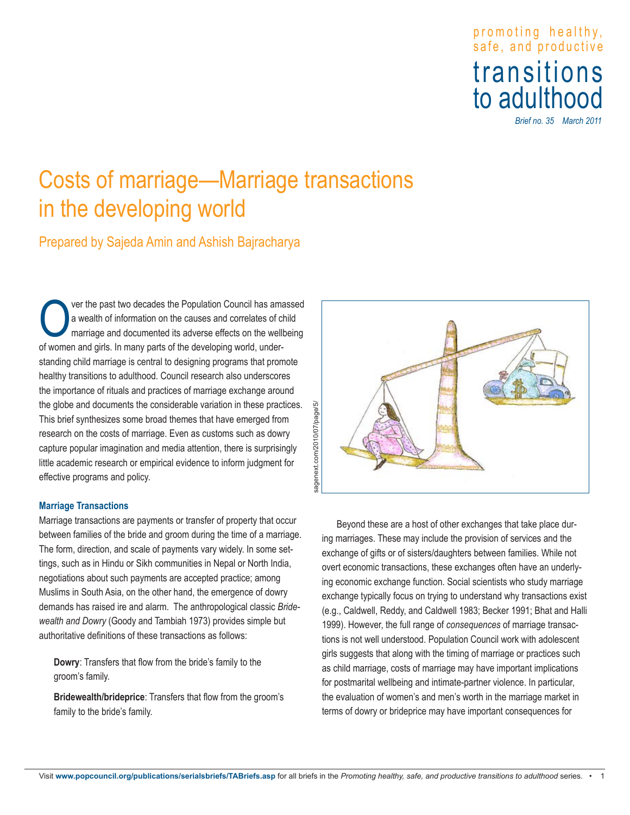## promoting healthy , safe, and productive transitions to adulthood

*Brief no. 35 March 2011*

# Costs of marriage—Marriage transactions in the developing world

Prepared by Sajeda Amin and Ashish Bajracharya

ver the past two decades the Population Council has amassed a wealth of information on the causes and correlates of child marriage and documented its adverse effects on the wellbeing of women and girls. In many parts of the developing world, understanding child marriage is central to designing programs that promote healthy transitions to adulthood. Council research also underscores the importance of rituals and practices of marriage exchange around the globe and documents the considerable variation in these practices. This brief synthesizes some broad themes that have emerged from research on the costs of marriage. Even as customs such as dowry capture popular imagination and media attention, there is surprisingly little academic research or empirical evidence to inform judgment for effective programs and policy.

#### **Marriage Transactions**

Marriage transactions are payments or transfer of property that occur between families of the bride and groom during the time of a marriage. The form, direction, and scale of payments vary widely. In some settings, such as in Hindu or Sikh communities in Nepal or North India, negotiations about such payments are accepted practice; among Muslims in South Asia, on the other hand, the emergence of dowry demands has raised ire and alarm. The anthropological classic *Bridewealth and Dowry* (Goody and Tambiah 1973) provides simple but authoritative definitions of these transactions as follows:

**Dowry**: Transfers that flow from the bride's family to the groom's family.

**Bridewealth/brideprice**: Transfers that flow from the groom's family to the bride's family.



Beyond these are a host of other exchanges that take place during marriages. These may include the provision of services and the exchange of gifts or of sisters/daughters between families. While not overt economic transactions, these exchanges often have an underlying economic exchange function. Social scientists who study marriage exchange typically focus on trying to understand why transactions exist (e.g., Caldwell, Reddy, and Caldwell 1983; Becker 1991; Bhat and Halli 1999). However, the full range of *consequences* of marriage transactions is not well understood. Population Council work with adolescent girls suggests that along with the timing of marriage or practices such as child marriage, costs of marriage may have important implications for postmarital wellbeing and intimate-partner violence. In particular, the evaluation of women's and men's worth in the marriage market in terms of dowry or brideprice may have important consequences for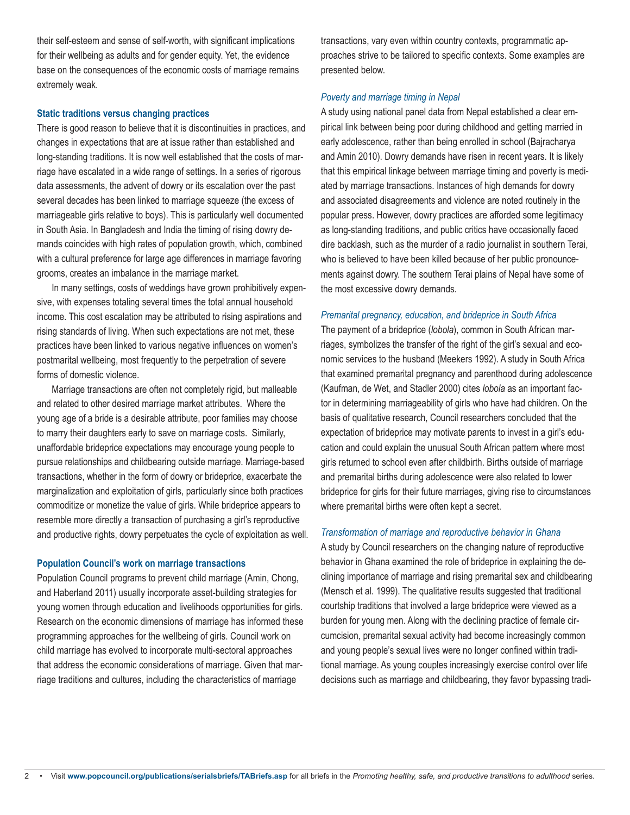their self-esteem and sense of self-worth, with significant implications for their wellbeing as adults and for gender equity. Yet, the evidence base on the consequences of the economic costs of marriage remains extremely weak.

#### **Static traditions versus changing practices**

There is good reason to believe that it is discontinuities in practices, and changes in expectations that are at issue rather than established and long-standing traditions. It is now well established that the costs of marriage have escalated in a wide range of settings. In a series of rigorous data assessments, the advent of dowry or its escalation over the past several decades has been linked to marriage squeeze (the excess of marriageable girls relative to boys). This is particularly well documented in South Asia. In Bangladesh and India the timing of rising dowry demands coincides with high rates of population growth, which, combined with a cultural preference for large age differences in marriage favoring grooms, creates an imbalance in the marriage market.

In many settings, costs of weddings have grown prohibitively expensive, with expenses totaling several times the total annual household income. This cost escalation may be attributed to rising aspirations and rising standards of living. When such expectations are not met, these practices have been linked to various negative influences on women's postmarital wellbeing, most frequently to the perpetration of severe forms of domestic violence.

Marriage transactions are often not completely rigid, but malleable and related to other desired marriage market attributes. Where the young age of a bride is a desirable attribute, poor families may choose to marry their daughters early to save on marriage costs. Similarly, unaffordable brideprice expectations may encourage young people to pursue relationships and childbearing outside marriage. Marriage-based transactions, whether in the form of dowry or brideprice, exacerbate the marginalization and exploitation of girls, particularly since both practices commoditize or monetize the value of girls. While brideprice appears to resemble more directly a transaction of purchasing a girl's reproductive and productive rights, dowry perpetuates the cycle of exploitation as well.

#### **Population Council's work on marriage transactions**

Population Council programs to prevent child marriage (Amin, Chong, and Haberland 2011) usually incorporate asset-building strategies for young women through education and livelihoods opportunities for girls. Research on the economic dimensions of marriage has informed these programming approaches for the wellbeing of girls. Council work on child marriage has evolved to incorporate multi-sectoral approaches that address the economic considerations of marriage. Given that marriage traditions and cultures, including the characteristics of marriage

transactions, vary even within country contexts, programmatic approaches strive to be tailored to specific contexts. Some examples are presented below.

#### *Poverty and marriage timing in Nepal*

A study using national panel data from Nepal established a clear empirical link between being poor during childhood and getting married in early adolescence, rather than being enrolled in school (Bajracharya and Amin 2010). Dowry demands have risen in recent years. It is likely that this empirical linkage between marriage timing and poverty is mediated by marriage transactions. Instances of high demands for dowry and associated disagreements and violence are noted routinely in the popular press. However, dowry practices are afforded some legitimacy as long-standing traditions, and public critics have occasionally faced dire backlash, such as the murder of a radio journalist in southern Terai, who is believed to have been killed because of her public pronouncements against dowry. The southern Terai plains of Nepal have some of the most excessive dowry demands.

#### *Premarital pregnancy, education, and brideprice in South Africa*

The payment of a brideprice (*lobola*), common in South African marriages, symbolizes the transfer of the right of the girl's sexual and economic services to the husband (Meekers 1992). A study in South Africa that examined premarital pregnancy and parenthood during adolescence (Kaufman, de Wet, and Stadler 2000) cites *lobola* as an important factor in determining marriageability of girls who have had children. On the basis of qualitative research, Council researchers concluded that the expectation of brideprice may motivate parents to invest in a girl's education and could explain the unusual South African pattern where most girls returned to school even after childbirth. Births outside of marriage and premarital births during adolescence were also related to lower brideprice for girls for their future marriages, giving rise to circumstances where premarital births were often kept a secret.

#### *Transformation of marriage and reproductive behavior in Ghana*

A study by Council researchers on the changing nature of reproductive behavior in Ghana examined the role of brideprice in explaining the declining importance of marriage and rising premarital sex and childbearing (Mensch et al. 1999). The qualitative results suggested that traditional courtship traditions that involved a large brideprice were viewed as a burden for young men. Along with the declining practice of female circumcision, premarital sexual activity had become increasingly common and young people's sexual lives were no longer confined within traditional marriage. As young couples increasingly exercise control over life decisions such as marriage and childbearing, they favor bypassing tradi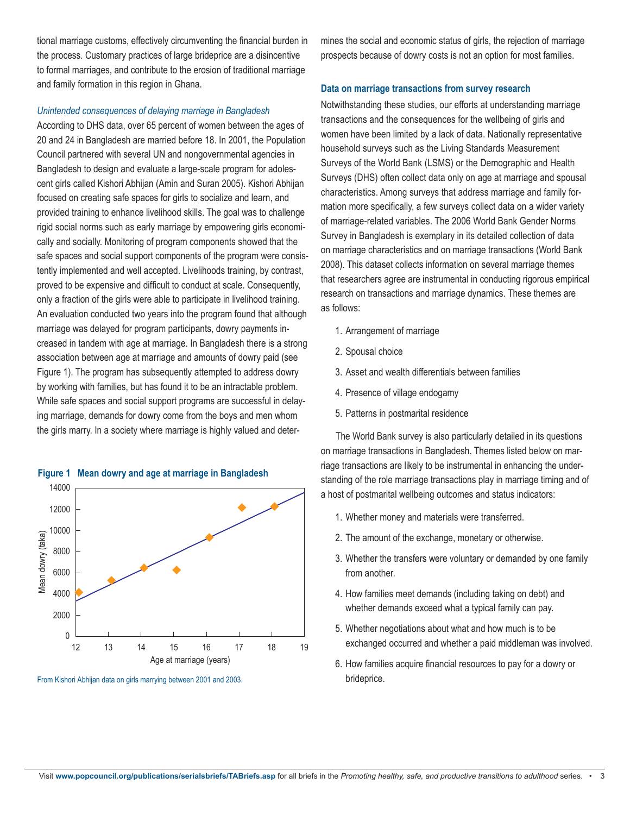tional marriage customs, effectively circumventing the financial burden in the process. Customary practices of large brideprice are a disincentive to formal marriages, and contribute to the erosion of traditional marriage and family formation in this region in Ghana.

#### *Unintended consequences of delaying marriage in Bangladesh*

According to DHS data, over 65 percent of women between the ages of 20 and 24 in Bangladesh are married before 18. In 2001, the Population Council partnered with several UN and nongovernmental agencies in Bangladesh to design and evaluate a large-scale program for adolescent girls called Kishori Abhijan (Amin and Suran 2005). Kishori Abhijan focused on creating safe spaces for girls to socialize and learn, and provided training to enhance livelihood skills. The goal was to challenge rigid social norms such as early marriage by empowering girls economically and socially. Monitoring of program components showed that the safe spaces and social support components of the program were consistently implemented and well accepted. Livelihoods training, by contrast, proved to be expensive and difficult to conduct at scale. Consequently, only a fraction of the girls were able to participate in livelihood training. An evaluation conducted two years into the program found that although marriage was delayed for program participants, dowry payments increased in tandem with age at marriage. In Bangladesh there is a strong association between age at marriage and amounts of dowry paid (see Figure 1). The program has subsequently attempted to address dowry by working with families, but has found it to be an intractable problem. While safe spaces and social support programs are successful in delaying marriage, demands for dowry come from the boys and men whom the girls marry. In a society where marriage is highly valued and deter-



**Figure 1 Mean dowry and age at marriage in Bangladesh**

mines the social and economic status of girls, the rejection of marriage prospects because of dowry costs is not an option for most families.

#### **Data on marriage transactions from survey research**

Notwithstanding these studies, our efforts at understanding marriage transactions and the consequences for the wellbeing of girls and women have been limited by a lack of data. Nationally representative household surveys such as the Living Standards Measurement Surveys of the World Bank (LSMS) or the Demographic and Health Surveys (DHS) often collect data only on age at marriage and spousal characteristics. Among surveys that address marriage and family formation more specifically, a few surveys collect data on a wider variety of marriage-related variables. The 2006 World Bank Gender Norms Survey in Bangladesh is exemplary in its detailed collection of data on marriage characteristics and on marriage transactions (World Bank 2008). This dataset collects information on several marriage themes that researchers agree are instrumental in conducting rigorous empirical research on transactions and marriage dynamics. These themes are as follows:

- 1. Arrangement of marriage
- 2. Spousal choice
- 3. Asset and wealth differentials between families
- 4. Presence of village endogamy
- 5. Patterns in postmarital residence

The World Bank survey is also particularly detailed in its questions on marriage transactions in Bangladesh. Themes listed below on marriage transactions are likely to be instrumental in enhancing the understanding of the role marriage transactions play in marriage timing and of a host of postmarital wellbeing outcomes and status indicators:

- 1. Whether money and materials were transferred.
- 2. The amount of the exchange, monetary or otherwise.
- 3. Whether the transfers were voluntary or demanded by one family from another.
- 4. How families meet demands (including taking on debt) and whether demands exceed what a typical family can pay.
- 5. Whether negotiations about what and how much is to be exchanged occurred and whether a paid middleman was involved.
- 6. How families acquire financial resources to pay for a dowry or brideprice.

From Kishori Abhijan data on girls marrying between 2001 and 2003.